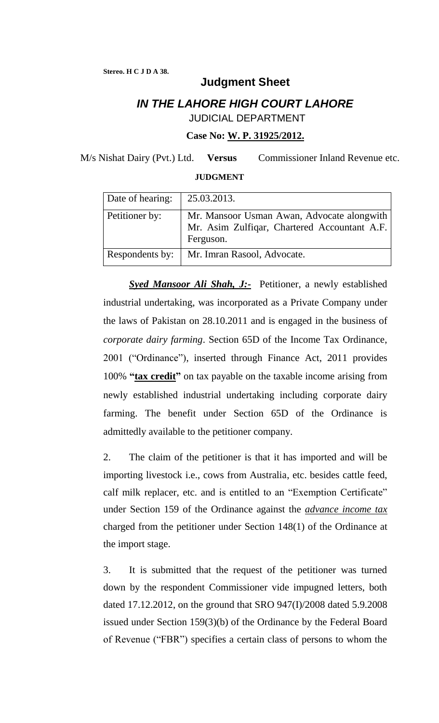## **Judgment Sheet**

## *IN THE LAHORE HIGH COURT LAHORE* JUDICIAL DEPARTMENT

**Case No: W. P. 31925/2012.**

M/s Nishat Dairy (Pvt.) Ltd. **Versus** Commissioner Inland Revenue etc.

## **JUDGMENT**

| Date of hearing: | 25.03.2013.                                                                                             |
|------------------|---------------------------------------------------------------------------------------------------------|
| Petitioner by:   | Mr. Mansoor Usman Awan, Advocate alongwith<br>Mr. Asim Zulfiqar, Chartered Accountant A.F.<br>Ferguson. |
| Respondents by:  | Mr. Imran Rasool, Advocate.                                                                             |

**Syed Mansoor Ali Shah, J:-** Petitioner, a newly established industrial undertaking, was incorporated as a Private Company under the laws of Pakistan on 28.10.2011 and is engaged in the business of *corporate dairy farming*. Section 65D of the Income Tax Ordinance, 2001 ("Ordinance"), inserted through Finance Act, 2011 provides 100% **"tax credit"** on tax payable on the taxable income arising from newly established industrial undertaking including corporate dairy farming. The benefit under Section 65D of the Ordinance is admittedly available to the petitioner company.

2. The claim of the petitioner is that it has imported and will be importing livestock i.e., cows from Australia, etc. besides cattle feed, calf milk replacer, etc. and is entitled to an "Exemption Certificate" under Section 159 of the Ordinance against the *advance income tax* charged from the petitioner under Section 148(1) of the Ordinance at the import stage.

3. It is submitted that the request of the petitioner was turned down by the respondent Commissioner vide impugned letters, both dated 17.12.2012, on the ground that SRO 947(I)/2008 dated 5.9.2008 issued under Section 159(3)(b) of the Ordinance by the Federal Board of Revenue ("FBR") specifies a certain class of persons to whom the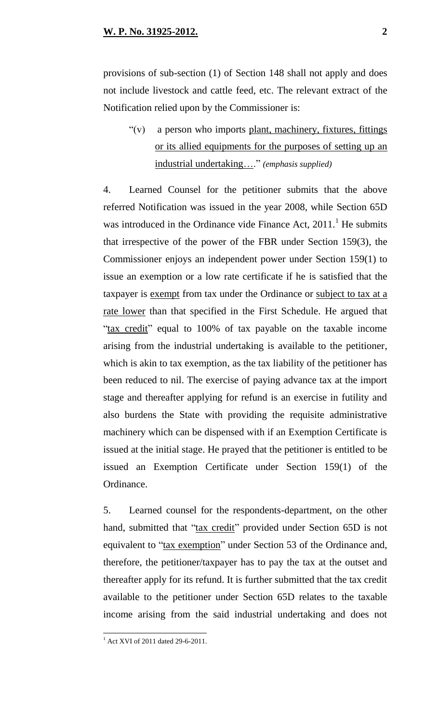provisions of sub-section (1) of Section 148 shall not apply and does not include livestock and cattle feed, etc. The relevant extract of the Notification relied upon by the Commissioner is:

 $f'(v)$  a person who imports plant, machinery, fixtures, fittings or its allied equipments for the purposes of setting up an industrial undertaking…." *(emphasis supplied)*

4. Learned Counsel for the petitioner submits that the above referred Notification was issued in the year 2008, while Section 65D was introduced in the Ordinance vide Finance Act,  $2011$ .<sup>1</sup> He submits that irrespective of the power of the FBR under Section 159(3), the Commissioner enjoys an independent power under Section 159(1) to issue an exemption or a low rate certificate if he is satisfied that the taxpayer is exempt from tax under the Ordinance or subject to tax at a rate lower than that specified in the First Schedule. He argued that "tax credit" equal to 100% of tax payable on the taxable income arising from the industrial undertaking is available to the petitioner, which is akin to tax exemption, as the tax liability of the petitioner has been reduced to nil. The exercise of paying advance tax at the import stage and thereafter applying for refund is an exercise in futility and also burdens the State with providing the requisite administrative machinery which can be dispensed with if an Exemption Certificate is issued at the initial stage. He prayed that the petitioner is entitled to be issued an Exemption Certificate under Section 159(1) of the Ordinance.

5. Learned counsel for the respondents-department, on the other hand, submitted that "tax credit" provided under Section 65D is not equivalent to "tax exemption" under Section 53 of the Ordinance and, therefore, the petitioner/taxpayer has to pay the tax at the outset and thereafter apply for its refund. It is further submitted that the tax credit available to the petitioner under Section 65D relates to the taxable income arising from the said industrial undertaking and does not

 $1$  Act XVI of 2011 dated 29-6-2011.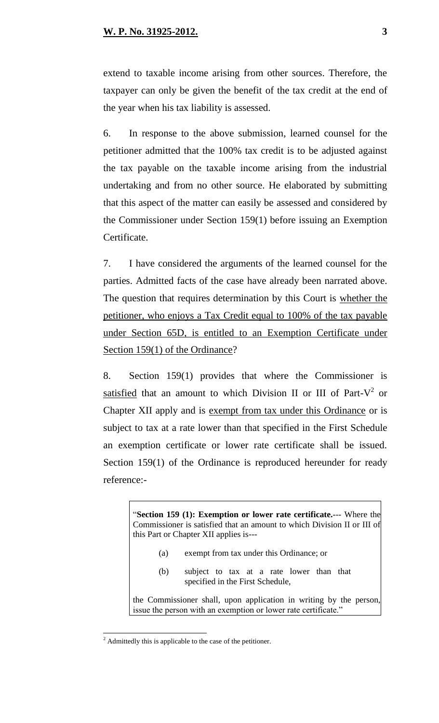extend to taxable income arising from other sources. Therefore, the taxpayer can only be given the benefit of the tax credit at the end of the year when his tax liability is assessed.

6. In response to the above submission, learned counsel for the petitioner admitted that the 100% tax credit is to be adjusted against the tax payable on the taxable income arising from the industrial undertaking and from no other source. He elaborated by submitting that this aspect of the matter can easily be assessed and considered by the Commissioner under Section 159(1) before issuing an Exemption Certificate.

7. I have considered the arguments of the learned counsel for the parties. Admitted facts of the case have already been narrated above. The question that requires determination by this Court is whether the petitioner, who enjoys a Tax Credit equal to 100% of the tax payable under Section 65D, is entitled to an Exemption Certificate under Section 159(1) of the Ordinance?

8. Section 159(1) provides that where the Commissioner is satisfied that an amount to which Division II or III of Part- $V^2$  or Chapter XII apply and is exempt from tax under this Ordinance or is subject to tax at a rate lower than that specified in the First Schedule an exemption certificate or lower rate certificate shall be issued. Section 159(1) of the Ordinance is reproduced hereunder for ready reference:-

> "**Section 159 (1): Exemption or lower rate certificate.**--- Where the Commissioner is satisfied that an amount to which Division II or III of this Part or Chapter XII applies is---

- (a) exempt from tax under this Ordinance; or
- (b) subject to tax at a rate lower than that specified in the First Schedule,

the Commissioner shall, upon application in writing by the person, issue the person with an exemption or lower rate certificate."

 $2$  Admittedly this is applicable to the case of the petitioner.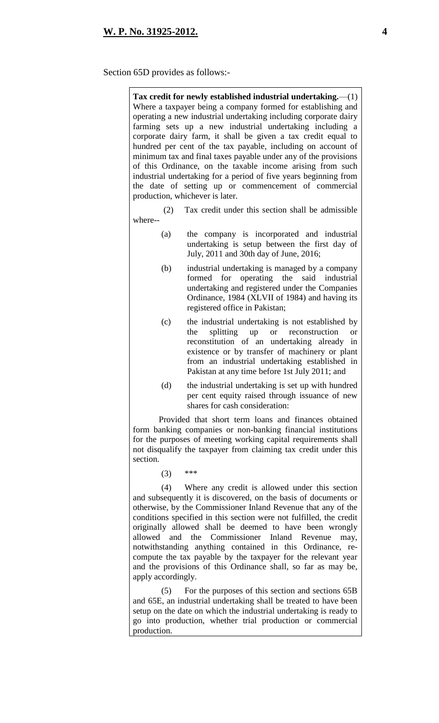## Section 65D provides as follows:-

| Tax credit for newly established industrial undertaking.—(1)<br>Where a taxpayer being a company formed for establishing and<br>operating a new industrial undertaking including corporate dairy<br>farming sets up a new industrial undertaking including a<br>corporate dairy farm, it shall be given a tax credit equal to<br>hundred per cent of the tax payable, including on account of<br>minimum tax and final taxes payable under any of the provisions<br>of this Ordinance, on the taxable income arising from such<br>industrial undertaking for a period of five years beginning from<br>the date of setting up or commencement of commercial<br>production, whichever is later. |                                                                                                                                                                                                                                                                                                                   |  |  |  |
|-----------------------------------------------------------------------------------------------------------------------------------------------------------------------------------------------------------------------------------------------------------------------------------------------------------------------------------------------------------------------------------------------------------------------------------------------------------------------------------------------------------------------------------------------------------------------------------------------------------------------------------------------------------------------------------------------|-------------------------------------------------------------------------------------------------------------------------------------------------------------------------------------------------------------------------------------------------------------------------------------------------------------------|--|--|--|
| (2)<br>where--                                                                                                                                                                                                                                                                                                                                                                                                                                                                                                                                                                                                                                                                                | Tax credit under this section shall be admissible                                                                                                                                                                                                                                                                 |  |  |  |
| (a)                                                                                                                                                                                                                                                                                                                                                                                                                                                                                                                                                                                                                                                                                           | the company is incorporated and industrial<br>undertaking is setup between the first day of<br>July, 2011 and 30th day of June, 2016;                                                                                                                                                                             |  |  |  |
| (b)                                                                                                                                                                                                                                                                                                                                                                                                                                                                                                                                                                                                                                                                                           | industrial undertaking is managed by a company<br>for operating the<br>formed<br>said industrial<br>undertaking and registered under the Companies<br>Ordinance, 1984 (XLVII of 1984) and having its<br>registered office in Pakistan;                                                                            |  |  |  |
| (c)                                                                                                                                                                                                                                                                                                                                                                                                                                                                                                                                                                                                                                                                                           | the industrial undertaking is not established by<br>splitting up or reconstruction<br>the<br><sub>or</sub><br>reconstitution of an undertaking already<br>in<br>existence or by transfer of machinery or plant<br>from an industrial undertaking established in<br>Pakistan at any time before 1st July 2011; and |  |  |  |
| (d)                                                                                                                                                                                                                                                                                                                                                                                                                                                                                                                                                                                                                                                                                           | the industrial undertaking is set up with hundred<br>per cent equity raised through issuance of new<br>shares for cash consideration:                                                                                                                                                                             |  |  |  |
| Provided that short term loans and finances obtained<br>form banking companies or non-banking financial institutions<br>for the purposes of meeting working capital requirements shall<br>not disqualify the taxpayer from claiming tax credit under this<br>section.                                                                                                                                                                                                                                                                                                                                                                                                                         |                                                                                                                                                                                                                                                                                                                   |  |  |  |
| (3)                                                                                                                                                                                                                                                                                                                                                                                                                                                                                                                                                                                                                                                                                           | ***                                                                                                                                                                                                                                                                                                               |  |  |  |
| (4)<br>Where any credit is allowed under this section<br>and subsequently it is discovered, on the basis of documents or<br>otherwise, by the Commissioner Inland Revenue that any of the<br>conditions specified in this section were not fulfilled, the credit<br>originally allowed shall be deemed to have been wrongly<br>allowed<br>and the Commissioner Inland Revenue<br>may,<br>notwithstanding anything contained in this Ordinance, re-<br>compute the tax payable by the taxpayer for the relevant year<br>and the provisions of this Ordinance shall, so far as may be,<br>apply accordingly.                                                                                    |                                                                                                                                                                                                                                                                                                                   |  |  |  |
| (5)                                                                                                                                                                                                                                                                                                                                                                                                                                                                                                                                                                                                                                                                                           | For the purposes of this section and sections 65B                                                                                                                                                                                                                                                                 |  |  |  |

and 65E, an industrial undertaking shall be treated to have been setup on the date on which the industrial undertaking is ready to go into production, whether trial production or commercial production.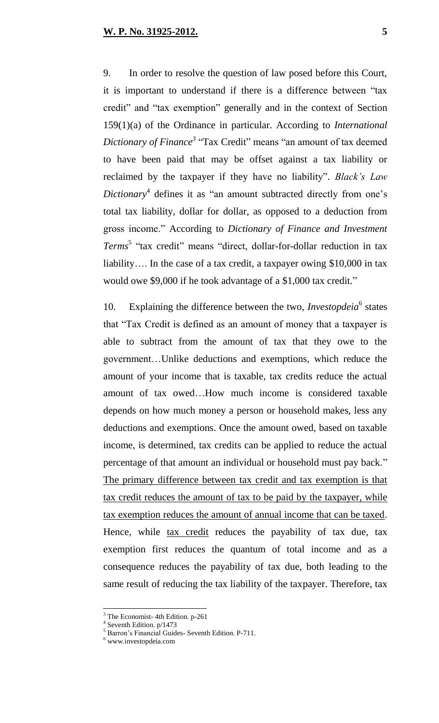9. In order to resolve the question of law posed before this Court, it is important to understand if there is a difference between "tax credit" and "tax exemption" generally and in the context of Section 159(1)(a) of the Ordinance in particular. According to *International Dictionary of Finance<sup>3</sup>* "Tax Credit" means "an amount of tax deemed to have been paid that may be offset against a tax liability or reclaimed by the taxpayer if they have no liability". *Black's Law Dictionary*<sup>4</sup> defines it as "an amount subtracted directly from one's total tax liability, dollar for dollar, as opposed to a deduction from gross income." According to *Dictionary of Finance and Investment Terms*<sup>5</sup> "tax credit" means "direct, dollar-for-dollar reduction in tax liability…. In the case of a tax credit, a taxpayer owing \$10,000 in tax would owe \$9,000 if he took advantage of a \$1,000 tax credit."

10. Explaining the difference between the two, *Investopdeia*<sup>6</sup> states that "Tax Credit is defined as an amount of money that a taxpayer is able to subtract from the amount of tax that they owe to the government…Unlike deductions and exemptions, which reduce the amount of your income that is taxable, tax credits reduce the actual amount of tax owed…How much income is considered taxable depends on how much money a person or household makes, less any deductions and exemptions. Once the amount owed, based on taxable income, is determined, tax credits can be applied to reduce the actual percentage of that amount an individual or household must pay back." The primary difference between tax credit and tax exemption is that tax credit reduces the amount of tax to be paid by the taxpayer, while tax exemption reduces the amount of annual income that can be taxed. Hence, while tax credit reduces the payability of tax due, tax exemption first reduces the quantum of total income and as a consequence reduces the payability of tax due, both leading to the same result of reducing the tax liability of the taxpayer. Therefore, tax

 $3$  The Economist- 4th Edition. p-261

<sup>&</sup>lt;sup>4</sup> Seventh Edition. p/1473

<sup>5</sup> Barron"s Financial Guides- Seventh Edition. P-711.

<sup>&</sup>lt;sup>6</sup> [www.investopdeia.com](http://www.investopdeia.com/)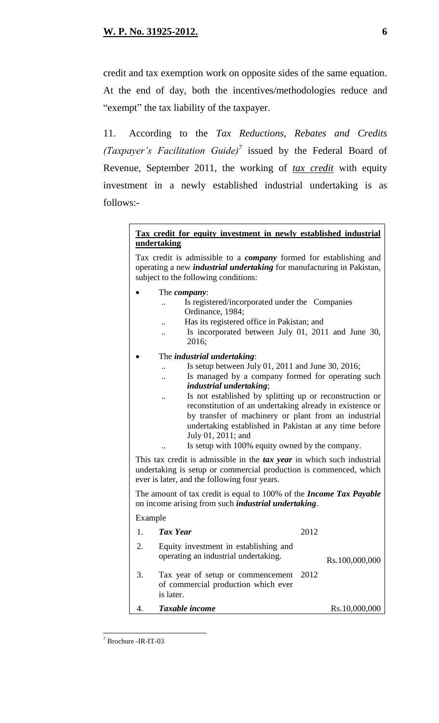credit and tax exemption work on opposite sides of the same equation. At the end of day, both the incentives/methodologies reduce and "exempt" the tax liability of the taxpayer.

11. According to the *Tax Reductions, Rebates and Credits (Taxpayer's Facilitation Guide)*<sup>7</sup> issued by the Federal Board of Revenue, September 2011, the working of *tax credit* with equity investment in a newly established industrial undertaking is as follows:-

### **Tax credit for equity investment in newly established industrial undertaking**

Tax credit is admissible to a *company* formed for establishing and operating a new *industrial undertaking* for manufacturing in Pakistan, subject to the following conditions:

- The *company*:
	- Is registered/incorporated under the Companies Ordinance, 1984;
		- Has its registered office in Pakistan; and
	- .. Is incorporated between July 01, 2011 and June 30, 2016;
- The *industrial undertaking*:
	- .. Is setup between July 01, 2011 and June 30, 2016;
	- .. Is managed by a company formed for operating such *industrial undertaking*;
	- Is not established by splitting up or reconstruction or reconstitution of an undertaking already in existence or by transfer of machinery or plant from an industrial undertaking established in Pakistan at any time before July 01, 2011; and
	- Is setup with 100% equity owned by the company.

This tax credit is admissible in the *tax year* in which such industrial undertaking is setup or commercial production is commenced, which ever is later, and the following four years.

The amount of tax credit is equal to 100% of the *Income Tax Payable* on income arising from such *industrial undertaking*.

Example

|    | <b>Tax Year</b>                                                                            | 2012 |                |
|----|--------------------------------------------------------------------------------------------|------|----------------|
| 2. | Equity investment in establishing and<br>operating an industrial undertaking.              |      | Rs.100,000,000 |
| 3. | Tax year of setup or commencement 2012<br>of commercial production which ever<br>is later. |      |                |
|    | Taxable income                                                                             |      | Rs.10,000,000  |

 $\overline{a}$ <sup>7</sup> Brochure -IR-IT-03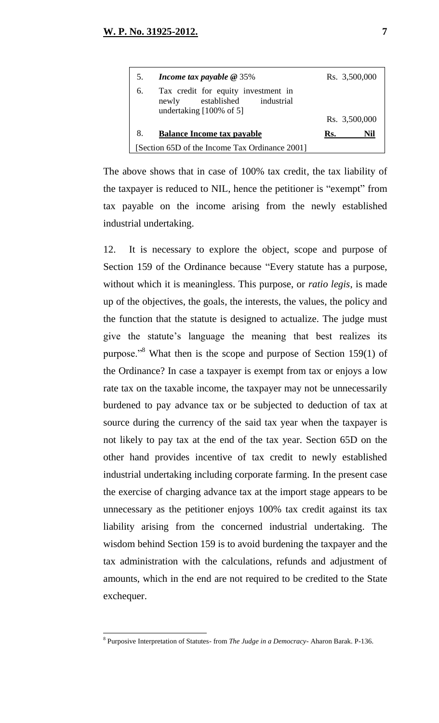| 5.                                             | Income tax payable $@35\%$                                                                                    | Rs. 3,500,000 |
|------------------------------------------------|---------------------------------------------------------------------------------------------------------------|---------------|
| 6.                                             | Tax credit for equity investment in<br>established industrial<br>newly<br>undertaking $[100\% \text{ of } 5]$ |               |
|                                                |                                                                                                               | Rs. 3,500,000 |
| 8.                                             | <b>Balance Income tax payable</b>                                                                             | Rs.<br>Nil    |
| [Section 65D of the Income Tax Ordinance 2001] |                                                                                                               |               |

The above shows that in case of 100% tax credit, the tax liability of the taxpayer is reduced to NIL, hence the petitioner is "exempt" from tax payable on the income arising from the newly established industrial undertaking.

12. It is necessary to explore the object, scope and purpose of Section 159 of the Ordinance because "Every statute has a purpose, without which it is meaningless. This purpose, or *ratio legis*, is made up of the objectives, the goals, the interests, the values, the policy and the function that the statute is designed to actualize. The judge must give the statute's language the meaning that best realizes its purpose."<sup>8</sup> What then is the scope and purpose of Section 159(1) of the Ordinance? In case a taxpayer is exempt from tax or enjoys a low rate tax on the taxable income, the taxpayer may not be unnecessarily burdened to pay advance tax or be subjected to deduction of tax at source during the currency of the said tax year when the taxpayer is not likely to pay tax at the end of the tax year. Section 65D on the other hand provides incentive of tax credit to newly established industrial undertaking including corporate farming. In the present case the exercise of charging advance tax at the import stage appears to be unnecessary as the petitioner enjoys 100% tax credit against its tax liability arising from the concerned industrial undertaking. The wisdom behind Section 159 is to avoid burdening the taxpayer and the tax administration with the calculations, refunds and adjustment of amounts, which in the end are not required to be credited to the State exchequer.

<sup>8</sup> Purposive Interpretation of Statutes- from *The Judge in a Democracy*- Aharon Barak. P-136.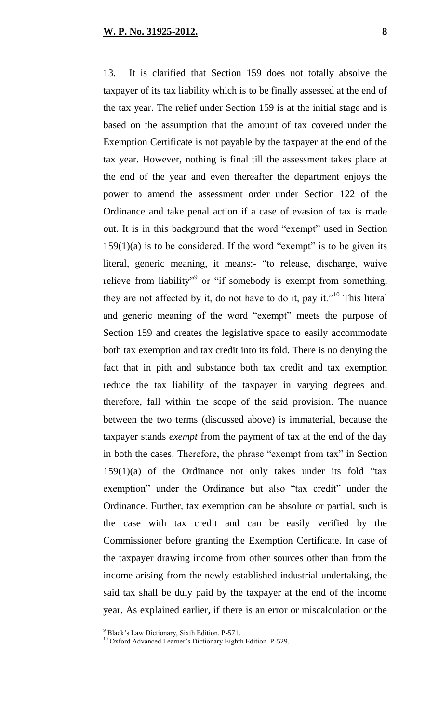13. It is clarified that Section 159 does not totally absolve the taxpayer of its tax liability which is to be finally assessed at the end of the tax year. The relief under Section 159 is at the initial stage and is based on the assumption that the amount of tax covered under the Exemption Certificate is not payable by the taxpayer at the end of the tax year. However, nothing is final till the assessment takes place at the end of the year and even thereafter the department enjoys the power to amend the assessment order under Section 122 of the Ordinance and take penal action if a case of evasion of tax is made out. It is in this background that the word "exempt" used in Section  $159(1)(a)$  is to be considered. If the word "exempt" is to be given its literal, generic meaning, it means:- "to release, discharge, waive relieve from liability<sup>"9</sup> or "if somebody is exempt from something, they are not affected by it, do not have to do it, pay it."<sup>10</sup> This literal and generic meaning of the word "exempt" meets the purpose of Section 159 and creates the legislative space to easily accommodate both tax exemption and tax credit into its fold. There is no denying the fact that in pith and substance both tax credit and tax exemption reduce the tax liability of the taxpayer in varying degrees and, therefore, fall within the scope of the said provision. The nuance between the two terms (discussed above) is immaterial, because the taxpayer stands *exempt* from the payment of tax at the end of the day in both the cases. Therefore, the phrase "exempt from tax" in Section  $159(1)(a)$  of the Ordinance not only takes under its fold "tax exemption" under the Ordinance but also "tax credit" under the Ordinance. Further, tax exemption can be absolute or partial, such is the case with tax credit and can be easily verified by the Commissioner before granting the Exemption Certificate. In case of the taxpayer drawing income from other sources other than from the income arising from the newly established industrial undertaking, the said tax shall be duly paid by the taxpayer at the end of the income year. As explained earlier, if there is an error or miscalculation or the

<sup>9</sup> Black"s Law Dictionary, Sixth Edition. P-571.

<sup>&</sup>lt;sup>10</sup> Oxford Advanced Learner's Dictionary Eighth Edition. P-529.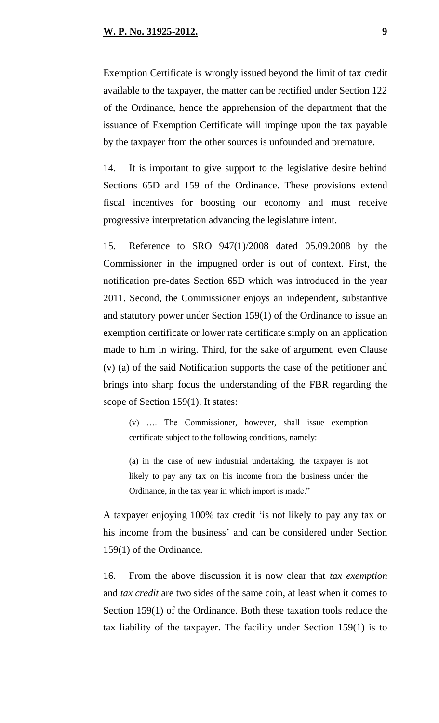Exemption Certificate is wrongly issued beyond the limit of tax credit available to the taxpayer, the matter can be rectified under Section 122 of the Ordinance, hence the apprehension of the department that the issuance of Exemption Certificate will impinge upon the tax payable by the taxpayer from the other sources is unfounded and premature.

14. It is important to give support to the legislative desire behind Sections 65D and 159 of the Ordinance. These provisions extend fiscal incentives for boosting our economy and must receive progressive interpretation advancing the legislature intent.

15. Reference to SRO 947(1)/2008 dated 05.09.2008 by the Commissioner in the impugned order is out of context. First, the notification pre-dates Section 65D which was introduced in the year 2011. Second, the Commissioner enjoys an independent, substantive and statutory power under Section 159(1) of the Ordinance to issue an exemption certificate or lower rate certificate simply on an application made to him in wiring. Third, for the sake of argument, even Clause (v) (a) of the said Notification supports the case of the petitioner and brings into sharp focus the understanding of the FBR regarding the scope of Section 159(1). It states:

(v) …. The Commissioner, however, shall issue exemption certificate subject to the following conditions, namely:

(a) in the case of new industrial undertaking, the taxpayer is not likely to pay any tax on his income from the business under the Ordinance, in the tax year in which import is made."

A taxpayer enjoying 100% tax credit "is not likely to pay any tax on his income from the business' and can be considered under Section 159(1) of the Ordinance.

16. From the above discussion it is now clear that *tax exemption* and *tax credit* are two sides of the same coin, at least when it comes to Section 159(1) of the Ordinance. Both these taxation tools reduce the tax liability of the taxpayer. The facility under Section 159(1) is to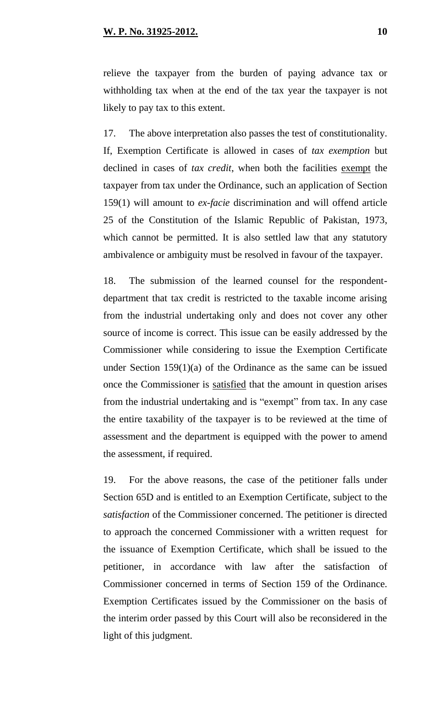relieve the taxpayer from the burden of paying advance tax or withholding tax when at the end of the tax year the taxpayer is not likely to pay tax to this extent.

17. The above interpretation also passes the test of constitutionality. If, Exemption Certificate is allowed in cases of *tax exemption* but declined in cases of *tax credit*, when both the facilities exempt the taxpayer from tax under the Ordinance, such an application of Section 159(1) will amount to *ex-facie* discrimination and will offend article 25 of the Constitution of the Islamic Republic of Pakistan, 1973, which cannot be permitted. It is also settled law that any statutory ambivalence or ambiguity must be resolved in favour of the taxpayer.

18. The submission of the learned counsel for the respondentdepartment that tax credit is restricted to the taxable income arising from the industrial undertaking only and does not cover any other source of income is correct. This issue can be easily addressed by the Commissioner while considering to issue the Exemption Certificate under Section 159(1)(a) of the Ordinance as the same can be issued once the Commissioner is satisfied that the amount in question arises from the industrial undertaking and is "exempt" from tax. In any case the entire taxability of the taxpayer is to be reviewed at the time of assessment and the department is equipped with the power to amend the assessment, if required.

19. For the above reasons, the case of the petitioner falls under Section 65D and is entitled to an Exemption Certificate, subject to the *satisfaction* of the Commissioner concerned. The petitioner is directed to approach the concerned Commissioner with a written request for the issuance of Exemption Certificate, which shall be issued to the petitioner, in accordance with law after the satisfaction of Commissioner concerned in terms of Section 159 of the Ordinance. Exemption Certificates issued by the Commissioner on the basis of the interim order passed by this Court will also be reconsidered in the light of this judgment.